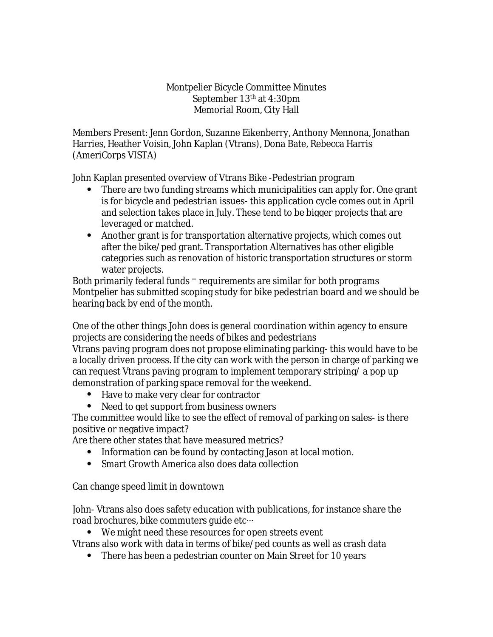## Montpelier Bicycle Committee Minutes September 13th at 4:30pm Memorial Room, City Hall

Members Present: Jenn Gordon, Suzanne Eikenberry, Anthony Mennona, Jonathan Harries, Heather Voisin, John Kaplan (Vtrans), Dona Bate, Rebecca Harris (AmeriCorps VISTA)

John Kaplan presented overview of Vtrans Bike -Pedestrian program

- There are two funding streams which municipalities can apply for. One grant is for bicycle and pedestrian issues- this application cycle comes out in April and selection takes place in July. These tend to be bigger projects that are leveraged or matched.
- Another grant is for transportation alternative projects, which comes out after the bike/ped grant. Transportation Alternatives has other eligible categories such as renovation of historic transportation structures or storm water projects.

Both primarily federal funds – requirements are similar for both programs Montpelier has submitted scoping study for bike pedestrian board and we should be hearing back by end of the month.

One of the other things John does is general coordination within agency to ensure projects are considering the needs of bikes and pedestrians

Vtrans paving program does not propose eliminating parking- this would have to be a locally driven process. If the city can work with the person in charge of parking we can request Vtrans paving program to implement temporary striping/ a pop up demonstration of parking space removal for the weekend.

- Have to make very clear for contractor
- Need to get support from business owners

The committee would like to see the effect of removal of parking on sales- is there positive or negative impact?

Are there other states that have measured metrics?

- Information can be found by contacting Jason at local motion.
- Smart Growth America also does data collection

Can change speed limit in downtown

John- Vtrans also does safety education with publications, for instance share the road brochures, bike commuters guide etc…

We might need these resources for open streets event

Vtrans also work with data in terms of bike/ped counts as well as crash data

• There has been a pedestrian counter on Main Street for 10 years